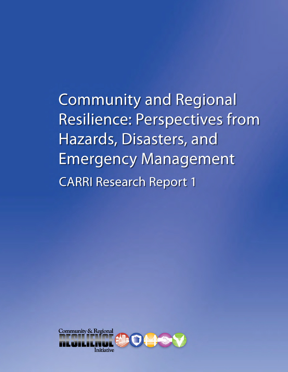**Community and Regional Resilience: Perspectives from** Hazards, Disasters, and **Emergency Management CARRI Research Report 1** 

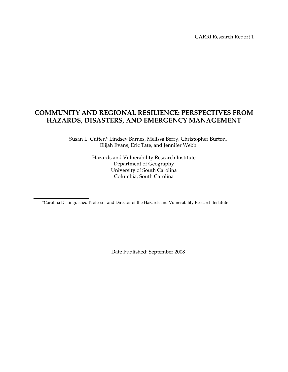CARRI Research Report 1

# **COMMUNITY AND REGIONAL RESILIENCE: PERSPECTIVES FROM HAZARDS, DISASTERS, AND EMERGENCY MANAGEMENT**

Susan L. Cutter,\* Lindsey Barnes, Melissa Berry, Christopher Burton, Elijah Evans, Eric Tate, and Jennifer Webb

> Hazards and Vulnerability Research Institute Department of Geography University of South Carolina Columbia, South Carolina

\*Carolina Distinguished Professor and Director of the Hazards and Vulnerability Research Institute

Date Published: September 2008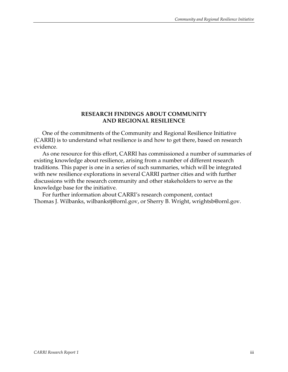## **RESEARCH FINDINGS ABOUT COMMUNITY AND REGIONAL RESILIENCE**

One of the commitments of the Community and Regional Resilience Initiative (CARRI) is to understand what resilience is and how to get there, based on research evidence.

As one resource for this effort, CARRI has commissioned a number of summaries of existing knowledge about resilience, arising from a number of different research traditions. This paper is one in a series of such summaries, which will be integrated with new resilience explorations in several CARRI partner cities and with further discussions with the research community and other stakeholders to serve as the knowledge base for the initiative.

For further information about CARRI's research component, contact Thomas J. Wilbanks, wilbankstj@ornl.gov, or Sherry B. Wright, wrightsb@ornl.gov.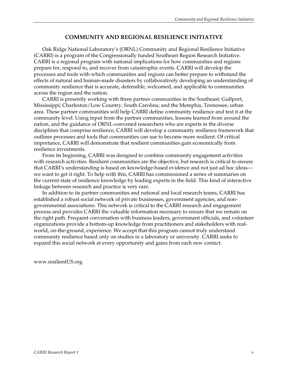## **COMMUNITY AND REGIONAL RESILIENCE INITIATIVE**

Oak Ridge National Laboratory's (ORNL) Community and Regional Resilience Initiative (CARRI) is a program of the Congressionally funded Southeast Region Research Initiative. CARRI is a regional program with national implications for how communities and regions prepare for, respond to, and recover from catastrophic events. CARRI will develop the processes and tools with which communities and regions can better prepare to withstand the effects of natural and human-made disasters by collaboratively developing an understanding of community resilience that is accurate, defensible, welcomed, and applicable to communities across the region and the nation.

CARRI is presently working with three partner communities in the Southeast: Gulfport, Mississippi; Charleston/Low Country, South Carolina; and the Memphis, Tennessee, urban area. These partner communities will help CARRI define community resilience and test it at the community level. Using input from the partner communities, lessons learned from around the nation, and the guidance of ORNL-convened researchers who are experts in the diverse disciplines that comprise resilience, CARRI will develop a community resilience framework that outlines processes and tools that communities can use to become more resilient. Of critical importance, CARRI will demonstrate that resilient communities gain economically from resilience investments.

From its beginning, CARRI was designed to combine community engagement activities with research activities. Resilient communities are the objective, but research is critical to ensure that CARRI's understanding is based on knowledge-based evidence and not just ad hoc ideas we want to get it right. To help with this, CARRI has commissioned a series of summaries on the current state of resilience knowledge by leading experts in the field. This kind of interactive linkage between research and practice is very rare.

In addition to its partner communities and national and local research teams, CARRI has established a robust social network of private businesses, government agencies, and nongovernmental associations. This network is critical to the CARRI research and engagement process and provides CARRI the valuable information necessary to ensure that we remain on the right path. Frequent conversation with business leaders, government officials, and volunteer organizations provide a bottom-up knowledge from practitioners and stakeholders with realworld, on-the-ground, experience. We accept that this program cannot truly understand community resilience based only on studies in a laboratory or university. CARRI seeks to expand this social network at every opportunity and gains from each new contact.

www.resilientUS.org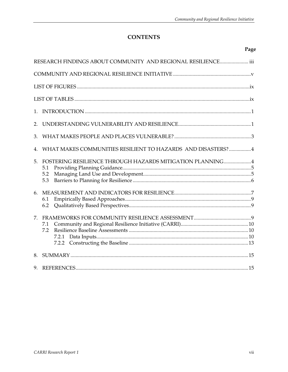# **CONTENTS**

## Page

|         | RESEARCH FINDINGS ABOUT COMMUNITY AND REGIONAL RESILIENCE iii                   |
|---------|---------------------------------------------------------------------------------|
|         |                                                                                 |
|         |                                                                                 |
|         |                                                                                 |
| $1_{-}$ |                                                                                 |
| 2.      |                                                                                 |
| 3.      |                                                                                 |
|         | WHAT MAKES COMMUNITIES RESILIENT TO HAZARDS AND DISASTERS?4                     |
| 5.      | FOSTERING RESILIENCE THROUGH HAZARDS MITIGATION PLANNING 4<br>5.1<br>5.2<br>5.3 |
| 6.      | 6.1<br>6.2                                                                      |
| 7.      | 7.1<br>7.2<br>7.2.1                                                             |
| 8.      |                                                                                 |
| 9.      |                                                                                 |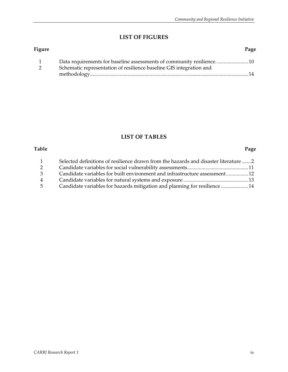# **LIST OF FIGURES**

| Figure |                                                                      | Page |
|--------|----------------------------------------------------------------------|------|
|        | Data requirements for baseline assessments of community resilience10 |      |
|        | Schematic representation of resilience baseline GIS integration and  |      |
|        |                                                                      |      |

# **LIST OF TABLES**

#### **Table Page**

| $\mathbf{1}$   | Selected definitions of resilience drawn from the hazards and disaster literature 2 |  |
|----------------|-------------------------------------------------------------------------------------|--|
| 2              |                                                                                     |  |
| 3              | Candidate variables for built environment and infrastructure assessment 12          |  |
| $\overline{4}$ |                                                                                     |  |
| $5 -$          | Candidate variables for hazards mitigation and planning for resilience 14           |  |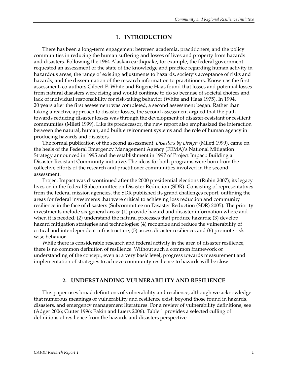#### **1. INTRODUCTION**

There has been a long-term engagement between academia, practitioners, and the policy communities in reducing the human suffering and losses of lives and property from hazards and disasters. Following the 1964 Alaskan earthquake, for example, the federal government requested an assessment of the state of the knowledge and practice regarding human activity in hazardous areas, the range of existing adjustments to hazards, society's acceptance of risks and hazards, and the dissemination of the research information to practitioners. Known as the first assessment, co-authors Gilbert F. White and Eugene Haas found that losses and potential losses from natural disasters were rising and would continue to do so because of societal choices and lack of individual responsibility for risk-taking behavior (White and Haas 1975). In 1994, 20 years after the first assessment was completed, a second assessment began. Rather than taking a reactive approach to disaster losses, the second assessment argued that the path towards reducing disaster losses was through the development of disaster-resistant or resilient communities (Mileti 1999). Like its predecessor, the new report also emphasized the interaction between the natural, human, and built environment systems and the role of human agency in producing hazards and disasters.

The formal publication of the second assessment, *Disasters by Design* (Mileti 1999), came on the heels of the Federal Emergency Management Agency (FEMA)'s National Mitigation Strategy announced in 1995 and the establishment in 1997 of Project Impact: Building a Disaster-Resistant Community initiative. The ideas for both programs were born from the collective efforts of the research and practitioner communities involved in the second assessment.

Project Impact was discontinued after the 2000 presidential elections (Rubin 2007); its legacy lives on in the federal Subcommittee on Disaster Reduction (SDR). Consisting of representatives from the federal mission agencies, the SDR published its grand challenges report, outlining the areas for federal investments that were critical to achieving loss reduction and community resilience in the face of disasters (Subcommittee on Disaster Reduction (SDR) 2005). The priority investments include six general areas: (1) provide hazard and disaster information where and when it is needed; (2) understand the natural processes that produce hazards; (3) develop hazard mitigation strategies and technologies; (4) recognize and reduce the vulnerability of critical and interdependent infrastructure; (5) assess disaster resilience; and (6) promote riskwise behavior.

While there is considerable research and federal activity in the area of disaster resilience, there is no common definition of resilience. Without such a common framework or understanding of the concept, even at a very basic level, progress towards measurement and implementation of strategies to achieve community resilience to hazards will be slow.

#### **2. UNDERSTANDING VULNERABILITY AND RESILIENCE**

This paper uses broad definitions of vulnerability and resilience, although we acknowledge that numerous meanings of vulnerability and resilience exist, beyond those found in hazards, disasters, and emergency management literatures. For a review of vulnerability definitions, see (Adger 2006; Cutter 1996; Eakin and Luers 2006). Table 1 provides a selected culling of definitions of resilience from the hazards and disasters perspective.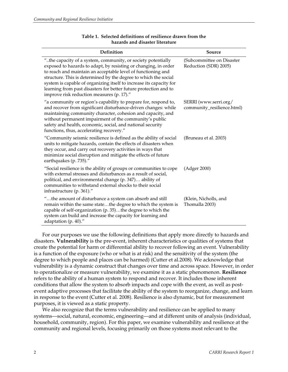| Definition                                                                                                                                                                                                                                                                                                                                                                                                                                                 | Source                                              |
|------------------------------------------------------------------------------------------------------------------------------------------------------------------------------------------------------------------------------------------------------------------------------------------------------------------------------------------------------------------------------------------------------------------------------------------------------------|-----------------------------------------------------|
| "the capacity of a system, community, or society potentially<br>exposed to hazards to adapt, by resisting or changing, in order<br>to reach and maintain an acceptable level of functioning and<br>structure. This is determined by the degree to which the social<br>system is capable of organizing itself to increase its capacity for<br>learning from past disasters for better future protection and to<br>improve risk reduction measures (p. 17)." | (Subcommittee on Disaster<br>Reduction (SDR) 2005)  |
| "a community or region's capability to prepare for, respond to,<br>and recover from significant disturbance-driven changes: while<br>maintaining community character, cohesion and capacity, and<br>without permanent impairment of the community's public<br>safety and health, economic, social, and national security<br>functions, thus, accelerating recovery."                                                                                       | SERRI (www.serri.org/<br>community_resilience.html) |
| "Community seismic resilience is defined as the ability of social<br>units to mitigate hazards, contain the effects of disasters when<br>they occur, and carry out recovery activities in ways that<br>minimize social disruption and mitigate the effects of future<br>earthquakes (p. 735)."                                                                                                                                                             | (Bruneau et al. 2003)                               |
| "Social resilience is the ability of groups or communities to cope<br>with external stresses and disturbances as a result of social,<br>political, and environmental change (p. 347) ability of<br>communities to withstand external shocks to their social<br>infrastructure (p. 361)."                                                                                                                                                                   | (Adger 2000)                                        |
| "the amount of disturbance a system can absorb and still<br>remain within the same statethe degree to which the system is<br>capable of self-organization (p. 35)the degree to which the<br>system can build and increase the capacity for learning and<br>adaptation (p. 40)."                                                                                                                                                                            | (Klein, Nicholls, and<br>Thomalla 2003)             |

#### **Table 1. Selected definitions of resilience drawn from the hazards and disaster literature**

For our purposes we use the following definitions that apply more directly to hazards and disasters. **Vulnerability** is the pre-event, inherent characteristics or qualities of systems that create the potential for harm or differential ability to recover following an event. Vulnerability is a function of the exposure (who or what is at risk) and the sensitivity of the system (the degree to which people and places can be harmed) (Cutter et al.2008). We acknowledge that vulnerability is a dynamic construct that changes over time and across space. However, in order to operationalize or measure vulnerability, we examine it as a static phenomenon. **Resilience** refers to the ability of a human system to respond and recover. It includes those inherent conditions that allow the system to absorb impacts and cope with the event, as well as postevent adaptive processes that facilitate the ability of the system to reorganize, change, and learn in response to the event (Cutter et al. 2008). Resilience is also dynamic, but for measurement purposes, it is viewed as a static property.

We also recognize that the terms vulnerability and resilience can be applied to many systems—social, natural, economic, engineering—and at different units of analysis (individual, household, community, region). For this paper, we examine vulnerability and resilience at the community and regional levels, focusing primarily on those systems most relevant to the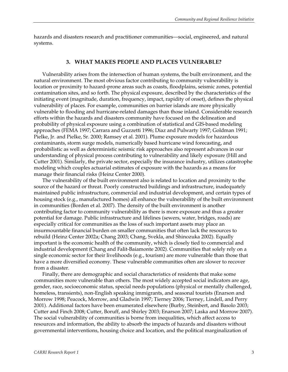hazards and disasters research and practitioner communities—social, engineered, and natural systems.

#### **3. WHAT MAKES PEOPLE AND PLACES VULNERABLE?**

Vulnerability arises from the intersection of human systems, the built environment, and the natural environment. The most obvious factor contributing to community vulnerability is location or proximity to hazard-prone areas such as coasts, floodplains, seismic zones, potential contamination sites, and so forth. The physical exposure, described by the characteristics of the initiating event (magnitude, duration, frequency, impact, rapidity of onset), defines the physical vulnerability of places. For example, communities on barrier islands are more physically vulnerable to flooding and hurricane-related damages than those inland. Considerable research efforts within the hazards and disasters community have focused on the delineation and probability of physical exposure using a combination of statistical and GIS-based modeling approaches (FEMA 1997; Carrara and Guzzetti 1996; Diaz and Pulwarty 1997; Goldman 1991; Pielke, Jr. and Pielke, Sr. 2000; Ramsey et al. 2001). Plume exposure models for hazardous contaminants, storm surge models, numerically based hurricane wind forecasting, and probabilistic as well as deterministic seismic risk approaches also represent advances in our understanding of physical process contributing to vulnerability and likely exposure (Hill and Cutter 2001). Similarly, the private sector, especially the insurance industry, utilizes catastrophe modeling which couples actuarial estimates of exposure with the hazards as a means for manage their financial risks (Heinz Center 2000).

The vulnerability of the built environment also is related to location and proximity to the source of the hazard or threat. Poorly constructed buildings and infrastructure, inadequately maintained public infrastructure, commercial and industrial development, and certain types of housing stock (e.g., manufactured homes) all enhance the vulnerability of the built environment in communities (Borden et al. 2007). The density of the built environment is another contributing factor to community vulnerability as there is more exposure and thus a greater potential for damage. Public infrastructure and lifelines (sewers, water, bridges, roads) are especially critical for communities as the loss of such important assets may place an insurmountable financial burden on smaller communities that often lack the resources to rebuild (Heinz Center 2002a; Chang 2003; Chang, Svekla, and Shinozuka 2002). Equally important is the economic health of the community, which is closely tied to commercial and industrial development (Chang and Falit-Baiamonte 2002). Communities that solely rely on a single economic sector for their livelihoods (e.g., tourism) are more vulnerable than those that have a more diversified economy. These vulnerable communities often are slower to recover from a disaster.

Finally, there are demographic and social characteristics of residents that make some communities more vulnerable than others. The most widely accepted social indicators are age, gender, race, socioeconomic status, special needs populations (physical or mentally challenged, homeless, transients), non-English speaking immigrants, and seasonal tourists (Enarson and Morrow 1998; Peacock, Morrow, and Gladwin 1997; Tierney 2006; Tierney, Lindell, and Perry 2001). Additional factors have been enumerated elsewhere (Burby, Steinbert, and Basolo 2003; Cutter and Finch 2008; Cutter, Boruff, and Shirley 2003; Enarson 2007; Laska and Morrow 2007). The social vulnerability of communities is borne from inequalities, which affect access to resources and information, the ability to absorb the impacts of hazards and disasters without governmental interventions, housing choice and location, and the political marginalization of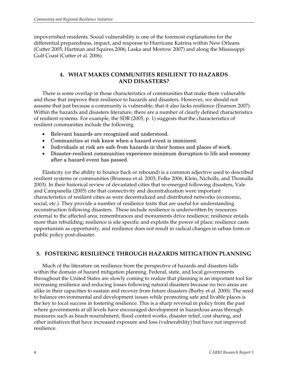impoverished residents. Social vulnerability is one of the foremost explanations for the differential preparedness, impact, and response to Hurricane Katrina within New Orleans (Cutter 2005; Hartman and Squires 2006; Laska and Morrow 2007) and along the Mississippi Gulf Coast (Cutter et al. 2006).

## **4. WHAT MAKES COMMUNITIES RESILIENT TO HAZARDS AND DISASTERS?**

There is some overlap in those characteristics of communities that make them vulnerable and those that improve their resilience to hazards and disasters. However, we should not assume that just because a community is vulnerable, that it also lacks resilience (Enarson 2007). Within the hazards and disasters literature, there are a number of clearly defined characteristics of resilient systems. For example, the SDR (2005, p. 1) suggests that the characteristics of resilient communities include the following.

- Relevant hazards are recognized and understood.
- Communities at risk know when a hazard event is imminent.
- Individuals at risk are safe from hazards in their homes and places of work.
- Disaster-resilient communities experience minimum disruption to life and economy after a hazard event has passed.

Elasticity (or the ability to bounce back or rebound) is a common adjective used to described resilient systems or communities (Bruneau et al. 2003; Folke 2006; Klein, Nicholls, and Thomalla 2003). In their historical review of devastated cities that re-emerged following disasters, Vale and Campanella (2005) cite that connectivity and decentralization were important characteristics of resilient cities as were decentralized and distributed networks (economic, social, etc.). They provide a number of resilience traits that are useful for understanding reconstruction following disasters. These include resilience is underwritten by resources external to the affected area; remembrances and monuments drive resilience; resilience entails more than rebuilding; resilience is site specific and exploits the power of place; resilience casts opportunism as opportunity; and resilience does not result in radical changes in urban form or public policy post-disaster.

## **5. FOSTERING RESILIENCE THROUGH HAZARDS MITIGATION PLANNING**

Much of the literature on resilience from the perspective of hazards and disasters falls within the domain of hazard mitigation planning. Federal, state, and local governments throughout the United States are slowly coming to realize that planning is an important tool for increasing resilience and reducing losses following natural disasters because no two areas are alike in their capacities to sustain and recover from future disasters (Burby et al. 2000). The need to balance environmental and development issues while promoting safe and livable places is the key to local success in fostering resilience. This is a sharp reversal in policy from the past where governments at all levels have encouraged development in hazardous areas through measures such as beach nourishment, flood control works, disaster relief, cost sharing, and other initiatives that have increased exposure and loss (vulnerability) but have not improved resilience.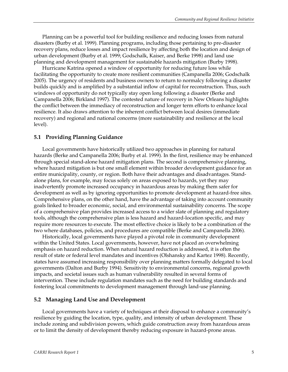Planning can be a powerful tool for building resilience and reducing losses from natural disasters (Burby et al. 1999). Planning programs, including those pertaining to pre-disaster recovery plans, reduce losses and impact resilience by affecting both the location and design of urban development (Burby et al. 1999; Godschalk, Kaiser, and Berke 1998) and land use planning and development management for sustainable hazards mitigation (Burby 1998).

Hurricane Katrina opened a window of opportunity for reducing future loss while facilitating the opportunity to create more resilient communities (Campanella 2006; Godschalk 2005). The urgency of residents and business owners to return to normalcy following a disaster builds quickly and is amplified by a substantial inflow of capital for reconstruction. Thus, such windows of opportunity do not typically stay open long following a disaster (Berke and Campanella 2006; Birkland 1997). The contested nature of recovery in New Orleans highlights the conflict between the immediacy of reconstruction and longer term efforts to enhance local resilience. It also draws attention to the inherent conflict between local desires (immediate recovery) and regional and national concerns (more sustainability and resilience at the local level).

#### **5.1 Providing Planning Guidance**

Local governments have historically utilized two approaches in planning for natural hazards (Berke and Campanella 2006; Burby et al. 1999). In the first, resilience may be enhanced through special stand-alone hazard mitigation plans. The second is comprehensive planning, where hazard mitigation is but one small element within broader development guidance for an entire municipality, county, or region. Both have their advantages and disadvantages. Standalone plans, for example, may focus solely on areas exposed to hazards, yet they may inadvertently promote increased occupancy in hazardous areas by making them safer for development as well as by ignoring opportunities to promote development at hazard-free sites. Comprehensive plans, on the other hand, have the advantage of taking into account community goals linked to broader economic, social, and environmental sustainability concerns. The scope of a comprehensive plan provides increased access to a wider slate of planning and regulatory tools, although the comprehensive plan is less hazard and hazard-location specific, and may require more resources to execute. The most effective choice is likely to be a combination of the two where databases, policies, and procedures are compatible (Berke and Campanella 2006).

Historically, local governments have played a pivotal role in community development within the United States. Local governments, however, have not placed an overwhelming emphasis on hazard reduction. When natural hazard reduction is addressed, it is often the result of state or federal level mandates and incentives (Olshansky and Kartez 1998). Recently, states have assumed increasing responsibility over planning matters formally delegated to local governments (Dalton and Burby 1994). Sensitivity to environmental concerns, regional growth impacts, and societal issues such as human vulnerability resulted in several forms of intervention. These include regulation mandates such as the need for building standards and fostering local commitments to development management through land-use planning.

#### **5.2 Managing Land Use and Development**

Local governments have a variety of techniques at their disposal to enhance a community's resilience by guiding the location, type, quality, and intensity of urban development. These include zoning and subdivision powers, which guide construction away from hazardous areas or to limit the density of development thereby reducing exposure in hazard-prone areas.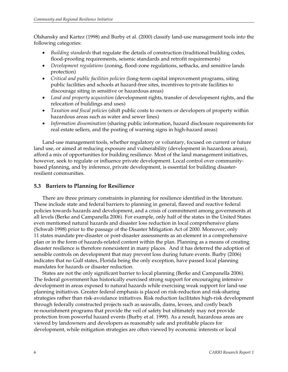Olshansky and Kartez (1998) and Burby et al. (2000) classify land-use management tools into the following categories:

- *Building standards* that regulate the details of construction (traditional building codes, flood-proofing requirements, seismic standards and retrofit requirements)
- *Development regulations* (zoning, flood-zone regulations, setbacks, and sensitive lands protection)
- *Critical and public facilities policies* (long-term capital improvement programs, siting public facilities and schools at hazard-free sites, incentives to private facilities to discourage siting in sensitive or hazardous areas)
- *Land and property acquisition* (development rights, transfer of development rights, and the relocation of buildings and uses)
- *Taxation and fiscal policies* (shift public costs to owners or developers of property within hazardous areas such as water and sewer lines)
- *Information dissemination* (sharing public information, hazard disclosure requirements for real estate sellers, and the posting of warning signs in high-hazard areas)

Land-use management tools, whether regulatory or voluntary, focused on current or future land use, or aimed at reducing exposure and vulnerability (development in hazardous areas), afford a mix of opportunities for building resilience. Most of the land management initiatives, however, seek to regulate or influence private development. Local control over communitybased planning, and by inference, private development, is essential for building disasterresilient communities.

## **5.3 Barriers to Planning for Resilience**

There are three primary constraints in planning for resilience identified in the literature. These include state and federal barriers to planning in general, flawed and reactive federal policies towards hazards and development, and a crisis of commitment among governments at all levels (Berke and Campanella 2006). For example, only half of the states in the United States even mentioned natural hazards and disaster loss reduction in local comprehensive plans (Schwab 1998) prior to the passage of the Disaster Mitigation Act of 2000. Moreover, only 11 states mandate pre-disaster or post-disaster assessments as an element in a comprehensive plan or in the form of hazards-related content within the plan. Planning as a means of creating disaster resilience is therefore nonexistent in many places. And it has deterred the adoption of sensible controls on development that may prevent loss during future events. Burby (2006) indicates that no Gulf states, Florida being the only exception, have passed local planning mandates for hazards or disaster reduction.

States are not the only significant barrier to local planning (Berke and Campanella 2006). The federal government has historically exercised strong support for encouraging intensive development in areas exposed to natural hazards while exercising weak support for land-use planning initiatives. Greater federal emphasis is placed on risk-reduction and risk-sharing strategies rather than risk-avoidance initiatives. Risk reduction facilitates high-risk development through federally constructed projects such as seawalls, dams, levees, and costly beach re-nourishment programs that provide the veil of safety but ultimately may not provide protection from powerful hazard events (Burby et al. 1999). As a result, hazardous areas are viewed by landowners and developers as reasonably safe and profitable places for development, while mitigation strategies are often viewed by economic interests or local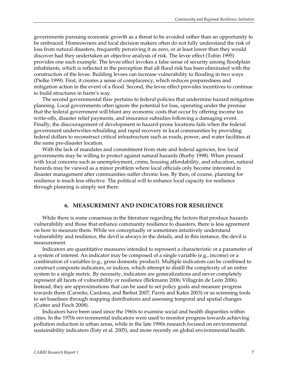governments pursuing economic growth as a threat to be avoided rather than an opportunity to be embraced. Homeowners and local decision makers often do not fully understand the risk of loss from natural disasters, frequently perceiving it as zero, or at least lower than they would discover had they undertaken an objective analysis of risk. The levee effect (Tobin 1995) provides one such example. The levee effect invokes a false sense of security among floodplain inhabitants, which is reflected in the perception that all flood risk has been eliminated with the construction of the levee. Building levees can increase vulnerability to flooding in two ways (Pielke 1999). First, it creates a sense of complacency, which reduces preparedness and mitigation action in the event of a flood. Second, the levee effect provides incentives to continue to build structures in harm's way.

The second governmental flaw pertains to federal policies that undermine hazard mitigation planning. Local governments often ignore the potential for loss, operating under the premise that the federal government will blunt any economic costs that occur by offering income tax write-offs, disaster relief payments, and insurance subsidies following a damaging event. Finally, the discouragement of development in hazard-prone locations fails when the federal government underwrites rebuilding and rapid recovery in local communities by providing federal dollars to reconstruct critical infrastructure such as roads, power, and water facilities at the same pre-disaster location.

With the lack of mandates and commitment from state and federal agencies, few local governments may be willing to protect against natural hazards (Burby 1998). When pressed with local concerns such as unemployment, crime, housing affordability, and education, natural hazards may be viewed as a minor problem where local officials only become interested in disaster management after communities suffer chronic loss. By then, of course, planning for resilience is much less effective. The political will to enhance local capacity for resilience through planning is simply not there.

#### **6. MEASUREMENT AND INDICATORS FOR RESILIENCE**

While there is some consensus in the literature regarding the factors that produce hazards vulnerability and those that enhance community resilience to disasters, there is less agreement on how to measure them. While we conceptually or sometimes intuitively understand vulnerability and resilience, the devil is always in the details, and in this instance, the devil is measurement.

Indicators are quantitative measures intended to represent a characteristic or a parameter of a system of interest. An indicator may be composed of a single variable (e.g., income) or a combination of variables (e.g., gross domestic product). Multiple indicators can be combined to construct composite indicators, or indices, which attempt to distill the complexity of an entire system to a single metric. By necessity, indicators are generalizations and never completely represent all facets of vulnerability or resilience (Birkmann 2006; Villagrán de León 2006). Instead, they are approximations that can be used to set policy goals and measure progress towards them (Carreño, Cardona, and Barbat 2007; Parris and Kates 2003) or as screening tools to set baselines through mapping distributions and assessing temporal and spatial changes (Cutter and Finch 2008).

Indicators have been used since the 1960s to examine social and health disparities within cities. In the 1970s environmental indicators were used to monitor progress towards achieving pollution reduction in urban areas, while in the late 1990s research focused on environmental sustainability indicators (Esty et al. 2005), and more recently on global environmental health.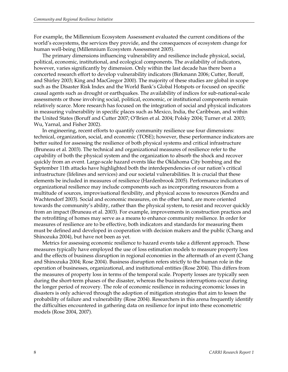For example, the Millennium Ecosystem Assessment evaluated the current conditions of the world's ecosystems, the services they provide, and the consequences of ecosystem change for human well-being (Millennium Ecosystem Assessment 2005).

The primary dimensions influencing vulnerability and resilience include physical, social, political, economic, institutional, and ecological components. The availability of indicators, however, varies significantly by dimension. Only within the last decade has there been a concerted research effort to develop vulnerability indicators (Birkmann 2006; Cutter, Boruff, and Shirley 2003; King and MacGregor 2000). The majority of these studies are global in scope such as the Disaster Risk Index and the World Bank's Global Hotspots or focused on specific causal agents such as drought or earthquakes. The availability of indices for sub-national-scale assessments or those involving social, political, economic, or institutional components remain relatively scarce. More research has focused on the integration of social and physical indicators in measuring vulnerability in specific places such as Mexico, India, the Caribbean, and within the United States (Boruff and Cutter 2007; O'Brien et al. 2004; Polsky 2004; Turner et al. 2003; Wu, Yarnal, and Fisher 2002).

In engineering, recent efforts to quantify community resilience use four dimensions: technical, organization, social, and economic (TOSE); however, these performance indicators are better suited for assessing the resilience of both physical systems and critical infrastructure (Bruneau et al. 2003). The technical and organizational measures of resilience refer to the capability of both the physical system and the organization to absorb the shock and recover quickly from an event. Large-scale hazard events like the Oklahoma City bombing and the September 11th attacks have highlighted both the interdependencies of our nation's critical infrastructure (lifelines and services) and our societal vulnerabilities. It is crucial that these elements be included in measures of resilience (Hardenbrook 2005). Performance indicators of organizational resilience may include components such as incorporating resources from a multitude of sources, improvisational flexibility, and physical access to resources (Kendra and Wachtendorf 2003). Social and economic measures, on the other hand, are more oriented towards the community's ability, rather than the physical system, to resist and recover quickly from an impact (Bruneau et al. 2003). For example, improvements in construction practices and the retrofitting of homes may serve as a means to enhance community resilience. In order for measures of resilience are to be effective, both indicators and standards for measuring them must be defined and developed in cooperation with decision makers and the public (Chang and Shinozuka 2004), but have not been as yet.

Metrics for assessing economic resilience to hazard events take a different approach. These measures typically have employed the use of loss estimation models to measure property loss and the effects of business disruption in regional economies in the aftermath of an event (Chang and Shinozuka 2004; Rose 2004). Business disruption refers strictly to the human role in the operation of businesses, organizational, and institutional entities (Rose 2004). This differs from the measures of property loss in terms of the temporal scale. Property losses are typically seen during the short-term phases of the disaster, whereas the business interruptions occur during the longer period of recovery. The role of economic resilience in reducing economic losses in disasters is only achieved through the adoption of mitigation strategies that aim to lessen the probability of failure and vulnerability (Rose 2004). Researchers in this arena frequently identify the difficulties encountered in gathering data on resilience for input into these econometric models (Rose 2004, 2007).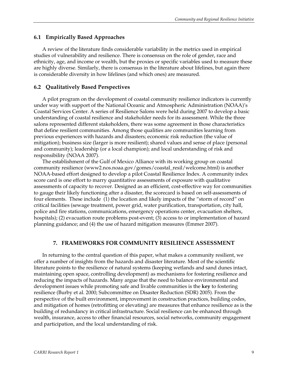## **6.1 Empirically Based Approaches**

A review of the literature finds considerable variability in the metrics used in empirical studies of vulnerability and resilience. There is consensus on the role of gender, race and ethnicity, age, and income or wealth, but the proxies or specific variables used to measure these are highly diverse. Similarly, there is consensus in the literature about lifelines, but again there is considerable diversity in how lifelines (and which ones) are measured.

## **6.2 Qualitatively Based Perspectives**

A pilot program on the development of coastal community resilience indicators is currently under way with support of the National Oceanic and Atmospheric Administration (NOAA)'s Coastal Services Center. A series of Resilience Salons were held during 2007 to develop a basic understanding of coastal resilience and stakeholder needs for its assessment. While the three salons represented different stakeholders, there was some agreement in those characteristics that define resilient communities. Among those qualities are communities learning from previous experiences with hazards and disasters; economic risk reduction (the value of mitigation); business size (larger is more resilient); shared values and sense of place (personal and community); leadership (or a local champion); and local understanding of risk and responsibility (NOAA 2007).

The establishment of the Gulf of Mexico Alliance with its working group on coastal community resilience (www2.nos.noaa.gov/gomes/coastal\_resil/welcome.html) is another NOAA-based effort designed to develop a pilot Coastal Resilience Index. A community index score card is one effort to marry quantitative assessments of exposure with qualitative assessments of capacity to recover. Designed as an efficient, cost-effective way for communities to gauge their likely functioning after a disaster, the scorecard is based on self-assessments of four elements. These include (1) the location and likely impacts of the "storm of record" on critical facilities (sewage treatment, power grid, water purification, transportation, city hall, police and fire stations, communications, emergency operations center, evacuation shelters, hospitals); (2) evacuation route problems post-event; (3) access to or implementation of hazard planning guidance; and (4) the use of hazard mitigation measures (Emmer 2007).

## **7. FRAMEWORKS FOR COMMUNITY RESILIENCE ASSESSMENT**

In returning to the central question of this paper, what makes a community resilient, we offer a number of insights from the hazards and disaster literature. Most of the scientific literature points to the resilience of natural systems (keeping wetlands and sand dunes intact, maintaining open space, controlling development) as mechanisms for fostering resilience and reducing the impacts of hazards. Many argue that the need to balance environmental and development issues while promoting safe and livable communities is the **key** to fostering resilience (Burby et al. 2000; Subcommittee on Disaster Reduction (SDR) 2005). From the perspective of the built environment, improvement in construction practices, building codes, and mitigation of homes (retrofitting or elevating) are measures that enhance resilience as is the building of redundancy in critical infrastructure. Social resilience can be enhanced through wealth, insurance, access to other financial resources, social networks, community engagement and participation, and the local understanding of risk.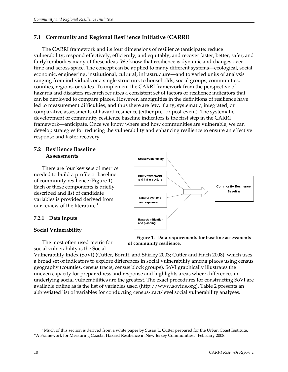## **7.1 Community and Regional Resilience Initiative (CARRI)**

The CARRI framework and its four dimensions of resilience (anticipate; reduce vulnerability; respond effectively, efficiently, and equitably; and recover faster, better, safer, and fairly) embodies many of these ideas. We know that resilience is dynamic and changes over time and across space. The concept can be applied to many different systems—ecological, social, economic, engineering, institutional, cultural, infrastructure—and to varied units of analysis ranging from individuals or a single structure, to households, social groups, communities, counties, regions, or states. To implement the CARRI framework from the perspective of hazards and disasters research requires a consistent set of factors or resilience indicators that can be deployed to compare places. However, ambiguities in the definitions of resilience have led to measurement difficulties, and thus there are few, if any, systematic, integrated, or comparative assessments of hazard resilience (either pre- or post-event). The systematic development of community resilience baseline indicators is the first step in the CARRI framework—anticipate. Once we know where and how communities are vulnerable, we can develop strategies for reducing the vulnerability and enhancing resilience to ensure an effective response and faster recovery.

## **7.2 Resilience Baseline Assessments**

There are four key sets of metrics needed to build a profile or baseline of community resilience (Figure 1). Each of these components is briefly described and list of candidate variables is provided derived from our review of the literature.<sup>1</sup>

## **7.2.1 Data Inputs**

## **Social Vulnerability**

The most often used metric for social vulnerability is the Social





Vulnerability Index (SoVI) (Cutter, Boruff, and Shirley 2003; Cutter and Finch 2008), which uses a broad set of indicators to explore differences in social vulnerability among places using census geography (counties, census tracts, census block groups). SoVI graphically illustrates the uneven capacity for preparedness and response and highlights areas where differences in underlying social vulnerabilities are the greatest. The exact procedures for constructing SoVI are available online as is the list of variables used (http://www.sovius.org). Table 2 presents an abbreviated list of variables for conducting census-tract-level social vulnerability analyses.

<sup>-</sup><sup>1</sup>Much of this section is derived from a white paper by Susan L. Cutter prepared for the Urban Coast Institute, "A Framework for Measuring Coastal Hazard Resilience in New Jersey Communities," February 2008.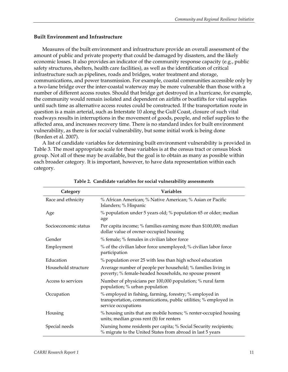#### **Built Environment and Infrastructure**

Measures of the built environment and infrastructure provide an overall assessment of the amount of public and private property that could be damaged by disasters, and the likely economic losses. It also provides an indicator of the community response capacity (e.g., public safety structures, shelters, health care facilities), as well as the identification of critical infrastructure such as pipelines, roads and bridges, water treatment and storage, communications, and power transmission. For example, coastal communities accessible only by a two-lane bridge over the inter-coastal waterway may be more vulnerable than those with a number of different access routes. Should that bridge get destroyed in a hurricane, for example, the community would remain isolated and dependent on airlifts or boatlifts for vital supplies until such time as alternative access routes could be constructed. If the transportation route in question is a main arterial, such as Interstate 10 along the Gulf Coast, closure of such vital roadways results in interruptions in the movement of goods, people, and relief supplies to the affected area, and increases recovery time. There is no standard index for built environment vulnerability, as there is for social vulnerability, but some initial work is being done (Borden et al. 2007).

A list of candidate variables for determining built environment vulnerability is provided in Table 3. The most appropriate scale for these variables is at the census tract or census block group. Not all of these may be available, but the goal is to obtain as many as possible within each broader category. It is important, however, to have data representation within each category.

| Category             | Variables                                                                                                                                         |
|----------------------|---------------------------------------------------------------------------------------------------------------------------------------------------|
| Race and ethnicity   | % African American; % Native American; % Asian or Pacific<br>Islanders; % Hispanic                                                                |
| Age                  | % population under 5 years old; % population 65 or older; median<br>age                                                                           |
| Socioeconomic status | Per capita income; % families earning more than \$100,000; median<br>dollar value of owner-occupied housing                                       |
| Gender               | % female; % females in civilian labor force                                                                                                       |
| Employment           | % of the civilian labor force unemployed; % civilian labor force<br>participation                                                                 |
| Education            | % population over 25 with less than high school education                                                                                         |
| Household structure  | Average number of people per household; % families living in<br>poverty; % female-headed households, no spouse present                            |
| Access to services   | Number of physicians per 100,000 population; % rural farm<br>population; % urban population                                                       |
| Occupation           | % employed in fishing, farming, forestry; % employed in<br>transportation, communications, public utilities; % employed in<br>service occupations |
| Housing              | % housing units that are mobile homes; % renter-occupied housing<br>units; median gross rent (\$) for renters                                     |
| Special needs        | Nursing home residents per capita; % Social Security recipients;<br>% migrate to the United States from abroad in last 5 years                    |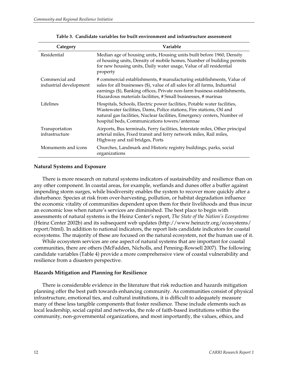| Category                                 | Variable                                                                                                                                                                                                                                                                                           |
|------------------------------------------|----------------------------------------------------------------------------------------------------------------------------------------------------------------------------------------------------------------------------------------------------------------------------------------------------|
| Residential                              | Median age of housing units, Housing units built before 1960, Density<br>of housing units, Density of mobile homes, Number of building permits<br>for new housing units, Daily water usage, Value of all residential<br>property                                                                   |
| Commercial and<br>industrial development | # commercial establishments, # manufacturing establishments, Value of<br>sales for all businesses (\$), value of all sales for all farms, Industrial<br>earnings (\$), Banking offices, Private non-farm business establishments,<br>Hazardous materials facilities, # Small businesses, # marinas |
| Lifelines                                | Hospitals, Schools, Electric power facilities, Potable water facilities,<br>Wastewater facilities, Dams, Police stations, Fire stations, Oil and<br>natural gas facilities, Nuclear facilities, Emergency centers, Number of<br>hospital beds, Communications towers/antennae                      |
| Transportation<br>infrastructure         | Airports, Bus terminals, Ferry facilities, Interstate miles, Other principal<br>arterial miles, Fixed transit and ferry network miles, Rail miles,<br>Highway and rail bridges, Ports                                                                                                              |
| Monuments and icons                      | Churches, Landmark and Historic registry buildings, parks, social<br>organizations                                                                                                                                                                                                                 |

**Table 3. Candidate variables for built environment and infrastructure assessment** 

### **Natural Systems and Exposure**

There is more research on natural systems indicators of sustainability and resilience than on any other component. In coastal areas, for example, wetlands and dunes offer a buffer against impending storm surges, while biodiversity enables the system to recover more quickly after a disturbance. Species at risk from over-harvesting, pollution, or habitat degradation influence the economic vitality of communities dependent upon them for their livelihoods and thus incur an economic loss when nature's services are diminished. The best place to begin with assessments of natural systems is the Heinz Center's report, *The State of the Nation's Ecosystems* (Heinz Center 2002b) and its subsequent web updates (http://www.heinzctr.org/ecosystems/ report/html). In addition to national indicators, the report lists candidate indicators for coastal ecosystems. The majority of these are focused on the natural ecosystem, not the human use of it.

While ecosystem services are one aspect of natural systems that are important for coastal communities, there are others (McFadden, Nicholls, and Penning-Rowsell 2007). The following candidate variables (Table 4) provide a more comprehensive view of coastal vulnerability and resilience from a disasters perspective.

#### **Hazards Mitigation and Planning for Resilience**

There is considerable evidence in the literature that risk reduction and hazards mitigation planning offer the best path towards enhancing community. As communities consist of physical infrastructure, emotional ties, and cultural institutions, it is difficult to adequately measure many of these less tangible components that foster resilience. These include elements such as local leadership, social capital and networks, the role of faith-based institutions within the community, non-governmental organizations, and most importantly, the values, ethics, and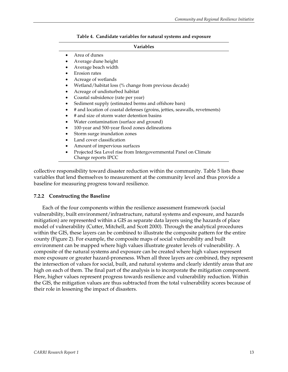| Table 4. Candidate variables for natural systems and exposure |  |  |  |
|---------------------------------------------------------------|--|--|--|
|                                                               |  |  |  |

#### **Variables**

- Area of dunes
- Average dune height
- Average beach width
- Erosion rates
- Acreage of wetlands
- Wetland/habitat loss (% change from previous decade)
- Acreage of undisturbed habitat
- Coastal subsidence (rate per year)
- Sediment supply (estimated berms and offshore bars)
- # and location of coastal defenses (groins, jetties, seawalls, revetments)
- # and size of storm water detention basins
- Water contamination (surface and ground)
- 100-year and 500-year flood zones delineations
- Storm surge inundation zones
- Land cover classification
- Amount of impervious surfaces
- Projected Sea Level rise from Intergovernmental Panel on Climate
- Change reports IPCC

collective responsibility toward disaster reduction within the community. Table 5 lists those variables that lend themselves to measurement at the community level and thus provide a baseline for measuring progress toward resilience.

#### **7.2.2 Constructing the Baseline**

Each of the four components within the resilience assessment framework (social vulnerability, built environment/infrastructure, natural systems and exposure, and hazards mitigation) are represented within a GIS as separate data layers using the hazards of place model of vulnerability (Cutter, Mitchell, and Scott 2000). Through the analytical procedures within the GIS, these layers can be combined to illustrate the composite pattern for the entire county (Figure 2). For example, the composite maps of social vulnerability and built environment can be mapped where high values illustrate greater levels of vulnerability. A composite of the natural systems and exposure can be created where high values represent more exposure or greater hazard-proneness. When all three layers are combined, they represent the intersection of values for social, built, and natural systems and clearly identify areas that are high on each of them. The final part of the analysis is to incorporate the mitigation component. Here, higher values represent progress towards resilience and vulnerability reduction. Within the GIS, the mitigation values are thus subtracted from the total vulnerability scores because of their role in lessening the impact of disasters.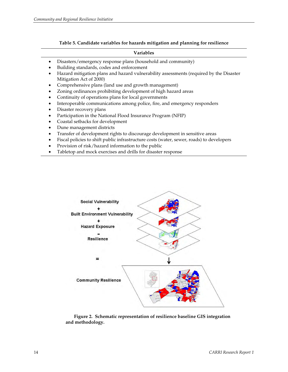|  |  |  | Table 5. Candidate variables for hazards mitigation and planning for resilience |
|--|--|--|---------------------------------------------------------------------------------|
|  |  |  |                                                                                 |

#### **Variables**

- Disasters/emergency response plans (household and community)
- Building standards, codes and enforcement
- Hazard mitigation plans and hazard vulnerability assessments (required by the Disaster Mitigation Act of 2000)
- Comprehensive plans (land use and growth management)
- Zoning ordinances prohibiting development of high hazard areas
- Continuity of operations plans for local governments
- Interoperable communications among police, fire, and emergency responders
- Disaster recovery plans
- Participation in the National Flood Insurance Program (NFIP)
- Coastal setbacks for development
- Dune management districts
- Transfer of development rights to discourage development in sensitive areas
- Fiscal policies to shift public infrastructure costs (water, sewer, roads) to developers
- Provision of risk/hazard information to the public
- Tabletop and mock exercises and drills for disaster response



**Figure 2. Schematic representation of resilience baseline GIS integration and methodology.**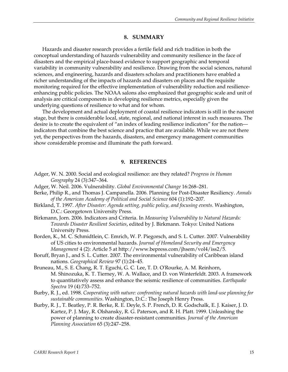## **8. SUMMARY**

Hazards and disaster research provides a fertile field and rich tradition in both the conceptual understanding of hazards vulnerability and community resilience in the face of disasters and the empirical place-based evidence to support geographic and temporal variability in community vulnerability and resilience. Drawing from the social sciences, natural sciences, and engineering, hazards and disasters scholars and practitioners have enabled a richer understanding of the impacts of hazards and disasters on places and the requisite monitoring required for the effective implementation of vulnerability reduction and resilienceenhancing public policies. The NOAA salons also emphasized that geographic scale and unit of analysis are critical components in developing resilience metrics, especially given the underlying questions of resilience to what and for whom.

The development and actual deployment of coastal resilience indicators is still in the nascent stage, but there is considerable local, state, regional, and national interest in such measures. The desire is to create the equivalent of "an index of leading resilience indicators" for the nation indicators that combine the best science and practice that are available. While we are not there yet, the perspectives from the hazards, disasters, and emergency management communities show considerable promise and illuminate the path forward.

#### **9. REFERENCES**

- Adger, W. N. 2000. Social and ecological resilience: are they related? *Progress in Human Geography* 24 (3):347–364.
- Adger, W. Neil. 2006. Vulnerability. *Global Environmental Change* 16:268–281.
- Berke, Philip R., and Thomas J. Campanella. 2006. Planning for Post-Disaster Resiliency. *Annals of the American Academy of Political and Social Science* 604 (1):192–207.
- Birkland, T. 1997. *After Disaster: Agenda setting, public policy, and focusing events.* Washington, D.C.: Georgetown University Press.
- Birkmann, Jorn. 2006. Indicators and Criteria. In *Measuring Vulnerability to Natural Hazards: Towards Disaster Resilient Societies*, edited by J. Birkmann. Tokyo: United Nations University Press.
- Borden, K., M. C. Schmidtlein, C. Emrich, W. P. Piegorsch, and S. L. Cutter. 2007. Vulnerability of US cities to environmental hazards. *Journal of Homeland Security and Emergency Management* 4 (2): Article 5 at http://www.bepress.com/jhsem/vol4/iss2/5.
- Boruff, Bryan J., and S. L. Cutter. 2007. The environmental vulnerability of Caribbean island nations. *Geographical Review* 97 (1):24–45.
- Bruneau, M., S. E. Chang, R. T. Eguchi, G. C. Lee, T. D. O'Rourke, A. M. Reinhorn, M. Shinozuka, K. T. Tierney, W. A. Wallace, and D. von Winterfeldt. 2003. A framework to quantitatively assess and enhance the seismic resilience of communities. *Earthquake Spectra* 19 (4):733–752.
- Burby, R. J., ed. 1998. *Cooperating with nature: confronting natural hazards with land-use planning for sustainable communities*. Washington, D.C.: The Joseph Henry Press.
- Burby, R. J., T. Beatley, P. R. Berke, R. E. Deyle, S. P. French, D. R. Godschalk, E. J. Kaiser, J. D. Kartez, P. J. May, R. Olshansky, R. G. Paterson, and R. H. Platt. 1999. Unleashing the power of planning to create disaster-resistant communities. *Journal of the American Planning Association* 65 (3):247–258.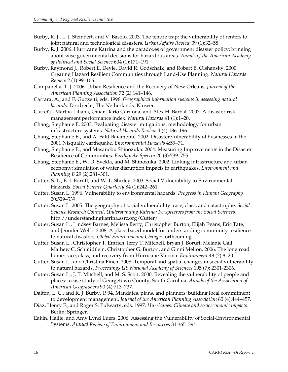- Burby, R. J., L. J. Steinbert, and V. Basolo. 2003. The tenure trap: the vulnerability of renters to joint natural and technological disasters. *Urban Affairs Review* 39 (1):32–58.
- Burby, R. J. 2006. Hurricane Katrina and the paradoxes of government disaster policy: bringing about wise governmental decisions for hazardous areas. *Annals of the American Academy of Political and Social Science* 604 (1):171–191.
- Burby, Raymond J., Robert E. Deyle, David R. Godschalk, and Robert B. Olshansky. 2000. Creating Hazard Resilient Communities through Land-Use Planning. *Natural Hazards Review* 2 (1):99–106.
- Campanella, T. J. 2006. Urban Resilience and the Recovery of New Orleans. *Journal of the American Planning Association* 72 (2):141–146.
- Carrara, A., and F. Guzzetti, eds. 1996. *Geographical information systems in assessing natural hazards*. Dordrecht, The Netherlands: Kluwer.
- Carreño, Martha Liliana, Omar Darío Cardona, and Alex H. Barbat. 2007. A disaster risk management performance index. *Natural Hazards* 41 (1):1–20.
- Chang, Stephanie E. 2003. Evaluating disaster mitigations: methodology for urban infrastructure systems. *Natural Hazards Review* 4 (4):186–196.
- Chang, Stephanie E., and A. Falit-Baiamonte. 2002. Disaster vulnerability of businesses in the 2001 Nisqually earthquake. *Environmental Hazards* 4:59–71.
- Chang, Stephanie E., and Masanobu Shinozuka. 2004. Measuring Improvements in the Disaster Resilience of Communities. *Earthquake Spectra* 20 (3):739–755.
- Chang, Stephanie E., W. D. Svekla, and M. Shinozuka. 2002. Linking infrastructure and urban economy: simulation of water disruption impacts in earthquakes. *Environment and Planning B* 29 (2):281–301.
- Cutter, S. L., B. J. Boruff, and W. L. Shirley. 2003. Social Vulnerability to Environmental Hazards. *Social Science Quarterly* 84 (1):242–261.
- Cutter, Susan L. 1996. Vulnerability to environmental hazards. *Progress in Human Geography* 20:529–539.
- Cutter, Susan L. 2005. The geography of social vulnerability: race, class, and catastrophe. *Social Science Research Council, Understanding Katrina: Perspectives from the Social Sciences*. http://understandingkatrina.ssrc.org/Cutter/
- Cutter, Susan L., Lindsey Barnes, Melissa Berry, Christopher Burton, Elijah Evans, Eric Tate, and Jennifer Webb. 2008. A place-based model for understanding community resilience to natural disasters. *Global Environmental Change*: forthcoming.
- Cutter, Susan L., Christopher T. Emrich, Jerry T. Mitchell, Bryan J. Boruff, Melanie Gall, Mathew C. Schmidtlein, Christopher G. Burton, and Ginni Melton. 2006. The long road home: race, class, and recovery from Hurricane Katrina. *Environment* 48 (2):8–20.
- Cutter, Susan L., and Christina Finch. 2008. Temporal and spatial changes in social vulnerability to natural hazards. *Proceedings US National Academy of Sciences* 105 (7): 2301-2306.
- Cutter, Susan L., J. T. Mitchell, and M. S. Scott. 2000. Revealing the vulnerability of people and places: a case study of Georgetown County, South Carolina. *Annals of the Association of American Geographers* 90 (4):713–737.
- Dalton, L. C., and R. J. Burby. 1994. Mandates, plans, and planners: building local commitment to development management. *Journal of the American Planning Association* 60 (4):444–457.
- Diaz, Henry F., and Roger S. Pulwarty, eds. 1997. *Hurricanes: Climate and socioeconomic impacts*. Berlin: Springer.
- Eakin, Hallie, and Amy Lynd Luers. 2006. Assessing the Vulnerability of Social-Environmental Systems. *Annual Review of Environment and Resources* 31:365–394.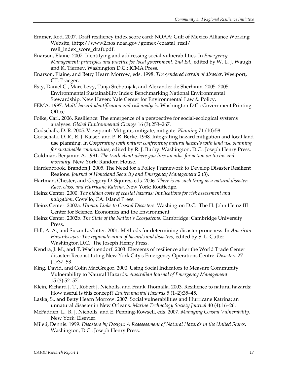- Emmer, Rod. 2007. Draft resiliency index score card: NOAA: Gulf of Mexico Alliance Working Website, (http://www2.nos.noaa.gov/gomex/coastal\_resil/ resil index score draft.pdf.
- Enarson, Elaine. 2007. Identifying and addressing social vulnerabilities. In *Emergency Management: principles and practice for local government, 2nd Ed.*, edited by W. L. J. Waugh and K. Tierney. Washington D.C.: ICMA Press.
- Enarson, Elaine, and Betty Hearn Morrow, eds. 1998. *The gendered terrain of disaster*. Westport, CT: Praeger.
- Esty, Daniel C., Marc Levy, Tanja Srebotnjak, and Alexander de Sherbinin. 2005. 2005 Environmental Sustainability Index: Benchmarking National Environmental Stewardship. New Haven: Yale Center for Environmental Law & Policy.
- FEMA. 1997. *Multi-hazard identification and risk analysis*. Washington D.C.: Government Printing Office.
- Folke, Carl. 2006. Resilience: The emergence of a perspective for social-ecological systems analyses. *Global Environmental Change* 16 (3):253–267.
- Godschalk, D. R. 2005. Viewpoint: Mitigate, mitigate, mitigate. *Planning* 71 (10):58.
- Godschalk, D. R., E. J. Kaiser, and P. R. Berke. 1998. Integrating hazard mitigation and local land use planning. In *Cooperating with nature: confronting natural hazards with land use planning for sustainable communities*, edited by R. J. Burby. Washington, D.C.: Joseph Henry Press.
- Goldman, Benjamin A. 1991. *The truth about where you live: an atlas for action on toxins and mortality*. New York: Random House.
- Hardenbrook, Brandon J. 2005. The Need for a Policy Framework to Develop Disaster Resilient Regions. *Journal of Homeland Security and Emergency Management* 2 (3).
- Hartman, Chester, and Gregory D. Squires, eds. 2006. *There is no such thing as a natural disaster: Race, class, and Hurricane Katrina*. New York: Routledge.
- Heinz Center. 2000. *The hidden costs of coastal hazards: Implications for risk assessment and mitigation*. Covello, CA: Island Press.
- Heinz Center. 2002a. *Human Links to Coastal Disasters*. Washington D.C.: The H. John Heinz III Center for Science, Economics and the Environment.
- Heinz Center. 2002b. *The State of the Nation's Ecosystems*. Cambridge: Cambridge University Press.
- Hill, A. A., and Susan L. Cutter. 2001. Methods for determining disaster proneness. In *American Hazardscapes: The regionalization of hazards and disasters*, edited by S. L. Cutter. Washington D.C.: The Joseph Henry Press.
- Kendra, J. M., and T. Wachtendorf. 2003. Elements of resilience after the World Trade Center disaster: Reconstituting New York City's Emergency Operations Centre. *Disasters* 27 (1):37–53.
- King, David, and Colin MacGregor. 2000. Using Social Indicators to Measure Community Vulnerability to Natural Hazards. *Australian Journal of Emergency Management* 15 (3):52–57.
- Klein, Richard J. T., Robert J. Nicholls, and Frank Thomalla. 2003. Resilience to natural hazards: How useful is this concept? *Environmental Hazards* 5 (1–2):35–45.
- Laska, S., and Betty Hearn Morrow. 2007. Social vulnerabilities and Hurricane Katrina: an unnatural disaster in New Orleans. *Marine Technology Society Journal* 40 (4):16–26.
- McFadden, L., R. J. Nicholls, and E. Penning-Rowsell, eds. 2007. *Managing Coastal Vulnerability*. New York: Elsevier.
- Mileti, Dennis. 1999. *Disasters by Design: A Reassessment of Natural Hazards in the United States*. Washington, D.C.: Joseph Henry Press.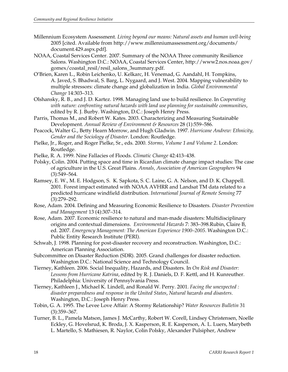- Millennium Ecosystem Assessment. *Living beyond our means: Natural assets and human well-being* 2005 [cited. Available from http://www.millenniumassessment.org/documents/ document.429.aspx.pdf].
- NOAA, Coastal Services Center. 2007. Summary of the NOAA Three community Resilience Salons. Washington D.C.: NOAA, Coastal Services Center, http://www2.nos.noaa.gov/ gomex/coastal\_resil/resil\_salons\_3summary.pdf.
- O'Brien, Karen L., Robin Leichenko, U. Kelkarc, H. Venemad, G. Aandahl, H. Tompkins, A. Javed, S. Bhadwal, S. Barg, L. Nygaard, and J. West. 2004. Mapping vulnerability to multiple stressors: climate change and globalization in India. *Global Environmental Change* 14:303–313.
- Olshansky, R. B., and J. D. Kartez. 1998. Managing land use to build resilience. In *Cooperating with nature: confronting natural hazards with land use planning for sustainable communities*, edited by R. J. Burby. Washington, D.C.: Joseph Henry Press.
- Parris, Thomas M., and Robert W. Kates. 2003. Characterizing and Measuring Sustainable Development. *Annual Review of Environment & Resources* 28 (1):559–586.
- Peacock, Walter G., Betty Hearn Morrow, and Hugh Gladwin. 1997. *Hurricane Andrew: Ethnicity, Gender and the Sociology of Disaster*. London: Routledge.
- Pielke, Jr., Roger, and Roger Pielke, Sr., eds. 2000. *Storms, Volume 1 and Volume 2*. London: Routledge.
- Pielke, R. A. 1999. Nine Fallacies of Floods. *Climatic Change* 42:413–438.
- Polsky, Colin. 2004. Putting space and time in Ricardian climate change impact studies: The case of agriculture in the U.S. Great Plains. *Annals, Association of American Geographers* 94 (3):549–564.
- Ramsey, E. W., M. E. Hodgson, S. K. Sapkota, S. C. Laine, G. A. Nelson, and D. K. Chappell. 2001. Forest impact estimated with NOAA AVHRR and Landsat TM data related to a predicted hurricane windfield distribution. *International Journal of Remote Sensing* 77 (3):279–292.
- Rose, Adam. 2004. Defining and Measuring Economic Resilience to Disasters. *Disaster Prevention and Management* 13 (4):307–314.
- Rose, Adam. 2007. Economic resilience to natural and man-made disasters: Multidisciplinary origins and contextual dimensions. *Environmental Hazards* 7: 383–398.Rubin, Claire B, ed. 2007. *Emergency Management: The American Experience 1900–2005*. Washington D.C.: Public Entity Research Institute (PERI).
- Schwab, J. 1998. Planning for post-disaster recovery and reconstruction. Washington, D.C.: American Planning Association.
- Subcommittee on Disaster Reduction (SDR). 2005. Grand challenges for disaster reduction. Washington D.C.: National Science and Technology Council.
- Tierney, Kathleen. 2006. Social Inequality, Hazards, and Disasters. In *On Risk and Disaster: Lessons from Hurricane Katrina*, edited by R. J. Daniels, D. F. Kettl, and H. Kunreuther. Philadelphia: University of Pennsylvania Press.
- Tierney, Kathleen J., Michael K. Lindell, and Ronald W. Perry. 2001. *Facing the unexpected : disaster preparedness and response in the United States*, *Natural hazards and disasters*. Washington, D.C.: Joseph Henry Press.
- Tobin, G. A. 1995. The Levee Love Affair: A Stormy Relationship? *Water Resources Bulletin* 31 (3):359–367.
- Turner, B. L., Pamela Matson, James J. McCarthy, Robert W. Corell, Lindsey Christensen, Noelle Eckley, G. Hovelsrud, K. Broda, J. X. Kasperson, R. E. Kasperson, A. L. Luers, Marybeth L. Martello, S. Mathiesen, R. Naylor, Colin Polsky, Alexander Pulsipher, Andrew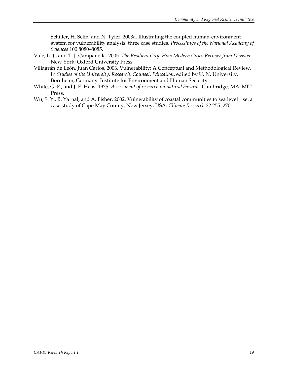Schiller, H. Selin, and N. Tyler. 2003a. Illustrating the coupled human-environment system for vulnerability analysis: three case studies. *Proceedings of the National Academy of Sciences* 100:8080–8085.

- Vale, L. J., and T. J. Campanella. 2005. *The Resilient City: How Modern Cities Recover from Disaster*. New York: Oxford University Press.
- Villagrán de León, Juan Carlos. 2006. Vulnerability: A Conceptual and Methodological Review. In *Studies of the University: Research, Counsel, Education*, edited by U. N. University. Bornheim, Germany: Institute for Environment and Human Security.
- White, G. F., and J. E. Haas. 1975. *Assessment of research on natural hazards*. Cambridge, MA: MIT Press.
- Wu, S. Y., B. Yarnal, and A. Fisher. 2002. Vulnerability of coastal communities to sea level rise: a case study of Cape May County, New Jersey, USA. *Climate Research* 22:255–270.